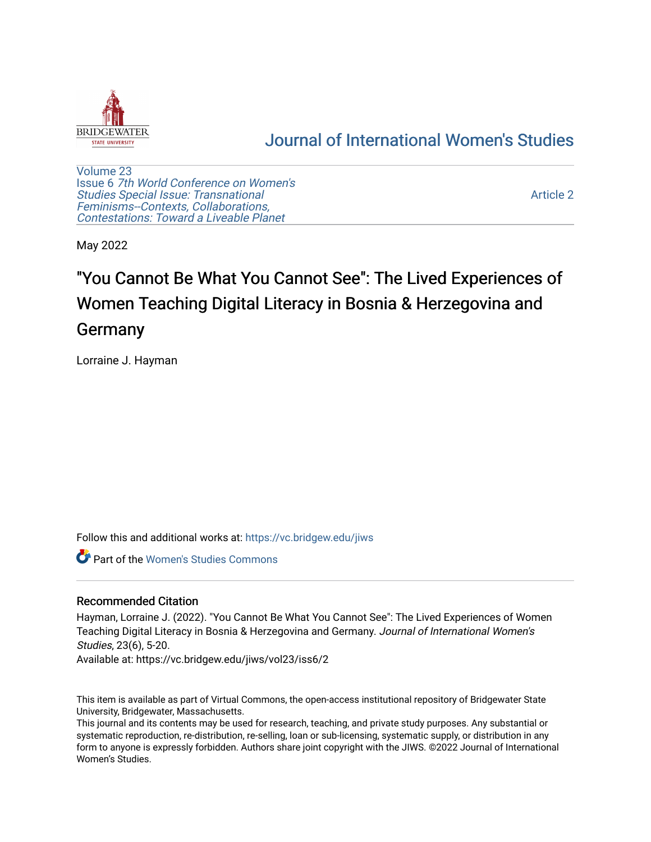

## [Journal of International Women's Studies](https://vc.bridgew.edu/jiws)

[Volume 23](https://vc.bridgew.edu/jiws/vol23) Issue 6 [7th World Conference on Women's](https://vc.bridgew.edu/jiws/vol23/iss6)  [Studies Special Issue: Transnational](https://vc.bridgew.edu/jiws/vol23/iss6)  [Feminisms--Contexts, Collaborations,](https://vc.bridgew.edu/jiws/vol23/iss6)  [Contestations: Toward a Liveable Planet](https://vc.bridgew.edu/jiws/vol23/iss6) 

[Article 2](https://vc.bridgew.edu/jiws/vol23/iss6/2) 

May 2022

# "You Cannot Be What You Cannot See": The Lived Experiences of Women Teaching Digital Literacy in Bosnia & Herzegovina and Germany

Lorraine J. Hayman

Follow this and additional works at: [https://vc.bridgew.edu/jiws](https://vc.bridgew.edu/jiws?utm_source=vc.bridgew.edu%2Fjiws%2Fvol23%2Fiss6%2F2&utm_medium=PDF&utm_campaign=PDFCoverPages)

**C** Part of the Women's Studies Commons

## Recommended Citation

Hayman, Lorraine J. (2022). "You Cannot Be What You Cannot See": The Lived Experiences of Women Teaching Digital Literacy in Bosnia & Herzegovina and Germany. Journal of International Women's Studies, 23(6), 5-20.

Available at: https://vc.bridgew.edu/jiws/vol23/iss6/2

This item is available as part of Virtual Commons, the open-access institutional repository of Bridgewater State University, Bridgewater, Massachusetts.

This journal and its contents may be used for research, teaching, and private study purposes. Any substantial or systematic reproduction, re-distribution, re-selling, loan or sub-licensing, systematic supply, or distribution in any form to anyone is expressly forbidden. Authors share joint copyright with the JIWS. ©2022 Journal of International Women's Studies.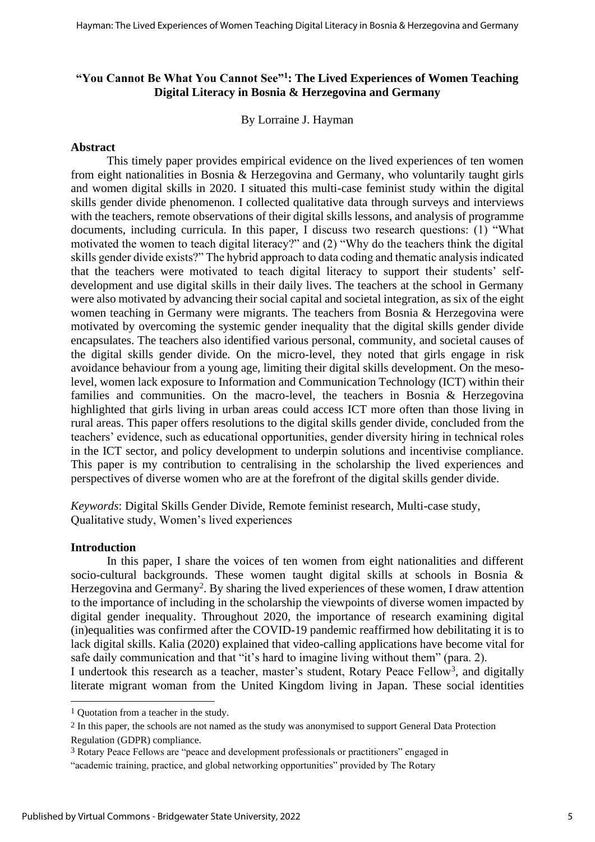## **"You Cannot Be What You Cannot See"<sup>1</sup> : The Lived Experiences of Women Teaching Digital Literacy in Bosnia & Herzegovina and Germany**

By Lorraine J. Hayman

#### **Abstract**

This timely paper provides empirical evidence on the lived experiences of ten women from eight nationalities in Bosnia & Herzegovina and Germany, who voluntarily taught girls and women digital skills in 2020. I situated this multi-case feminist study within the digital skills gender divide phenomenon. I collected qualitative data through surveys and interviews with the teachers, remote observations of their digital skills lessons, and analysis of programme documents, including curricula. In this paper, I discuss two research questions: (1) "What motivated the women to teach digital literacy?" and (2) "Why do the teachers think the digital skills gender divide exists?" The hybrid approach to data coding and thematic analysis indicated that the teachers were motivated to teach digital literacy to support their students' selfdevelopment and use digital skills in their daily lives. The teachers at the school in Germany were also motivated by advancing their social capital and societal integration, as six of the eight women teaching in Germany were migrants. The teachers from Bosnia & Herzegovina were motivated by overcoming the systemic gender inequality that the digital skills gender divide encapsulates. The teachers also identified various personal, community, and societal causes of the digital skills gender divide. On the micro-level, they noted that girls engage in risk avoidance behaviour from a young age, limiting their digital skills development. On the mesolevel, women lack exposure to Information and Communication Technology (ICT) within their families and communities. On the macro-level, the teachers in Bosnia & Herzegovina highlighted that girls living in urban areas could access ICT more often than those living in rural areas. This paper offers resolutions to the digital skills gender divide, concluded from the teachers' evidence, such as educational opportunities, gender diversity hiring in technical roles in the ICT sector, and policy development to underpin solutions and incentivise compliance. This paper is my contribution to centralising in the scholarship the lived experiences and perspectives of diverse women who are at the forefront of the digital skills gender divide.

*Keywords*: Digital Skills Gender Divide, Remote feminist research, Multi-case study, Qualitative study, Women's lived experiences

#### **Introduction**

In this paper, I share the voices of ten women from eight nationalities and different socio-cultural backgrounds. These women taught digital skills at schools in Bosnia & Herzegovina and Germany<sup>2</sup>. By sharing the lived experiences of these women, I draw attention to the importance of including in the scholarship the viewpoints of diverse women impacted by digital gender inequality. Throughout 2020, the importance of research examining digital (in)equalities was confirmed after the COVID-19 pandemic reaffirmed how debilitating it is to lack digital skills. Kalia (2020) explained that video-calling applications have become vital for safe daily communication and that "it's hard to imagine living without them" (para. 2).

I undertook this research as a teacher, master's student, Rotary Peace Fellow<sup>3</sup>, and digitally literate migrant woman from the United Kingdom living in Japan. These social identities

<sup>1</sup> Quotation from a teacher in the study.

<sup>2</sup> In this paper, the schools are not named as the study was anonymised to support General Data Protection Regulation (GDPR) compliance.

<sup>3</sup> Rotary Peace Fellows are "peace and development professionals or practitioners" engaged in

<sup>&</sup>quot;academic training, practice, and global networking opportunities" provided by The Rotary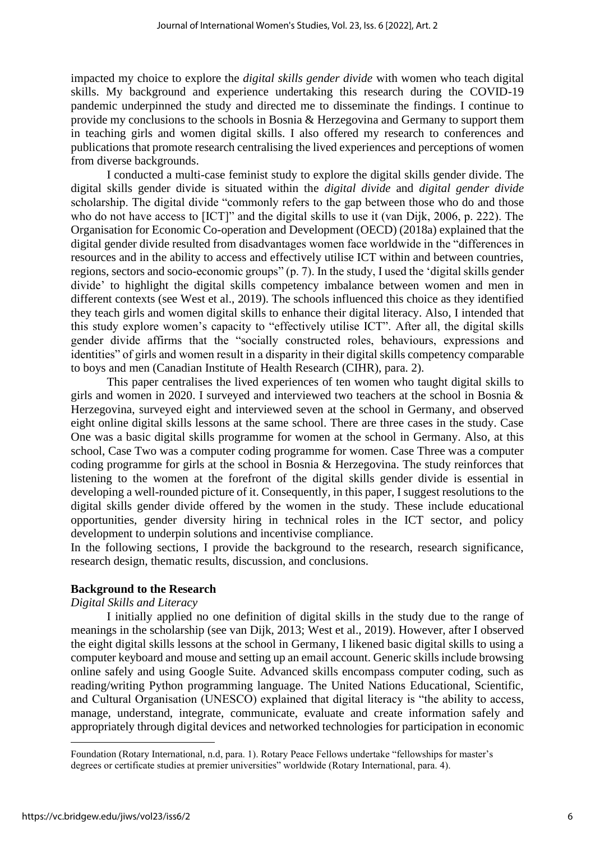impacted my choice to explore the *digital skills gender divide* with women who teach digital skills. My background and experience undertaking this research during the COVID-19 pandemic underpinned the study and directed me to disseminate the findings. I continue to provide my conclusions to the schools in Bosnia & Herzegovina and Germany to support them in teaching girls and women digital skills. I also offered my research to conferences and publications that promote research centralising the lived experiences and perceptions of women from diverse backgrounds.

I conducted a multi-case feminist study to explore the digital skills gender divide. The digital skills gender divide is situated within the *digital divide* and *digital gender divide*  scholarship. The digital divide "commonly refers to the gap between those who do and those who do not have access to [ICT]" and the digital skills to use it (van Dijk, 2006, p. 222). The Organisation for Economic Co-operation and Development (OECD) (2018a) explained that the digital gender divide resulted from disadvantages women face worldwide in the "differences in resources and in the ability to access and effectively utilise ICT within and between countries, regions, sectors and socio-economic groups" (p. 7). In the study, I used the 'digital skills gender divide' to highlight the digital skills competency imbalance between women and men in different contexts (see West et al., 2019). The schools influenced this choice as they identified they teach girls and women digital skills to enhance their digital literacy. Also, I intended that this study explore women's capacity to "effectively utilise ICT". After all, the digital skills gender divide affirms that the "socially constructed roles, behaviours, expressions and identities" of girls and women result in a disparity in their digital skills competency comparable to boys and men (Canadian Institute of Health Research (CIHR), para. 2).

This paper centralises the lived experiences of ten women who taught digital skills to girls and women in 2020. I surveyed and interviewed two teachers at the school in Bosnia & Herzegovina, surveyed eight and interviewed seven at the school in Germany, and observed eight online digital skills lessons at the same school. There are three cases in the study. Case One was a basic digital skills programme for women at the school in Germany. Also, at this school, Case Two was a computer coding programme for women. Case Three was a computer coding programme for girls at the school in Bosnia & Herzegovina. The study reinforces that listening to the women at the forefront of the digital skills gender divide is essential in developing a well-rounded picture of it. Consequently, in this paper, I suggest resolutions to the digital skills gender divide offered by the women in the study. These include educational opportunities, gender diversity hiring in technical roles in the ICT sector, and policy development to underpin solutions and incentivise compliance.

In the following sections, I provide the background to the research, research significance, research design, thematic results, discussion, and conclusions.

#### **Background to the Research**

#### *Digital Skills and Literacy*

I initially applied no one definition of digital skills in the study due to the range of meanings in the scholarship (see van Dijk, 2013; West et al., 2019). However, after I observed the eight digital skills lessons at the school in Germany, I likened basic digital skills to using a computer keyboard and mouse and setting up an email account. Generic skills include browsing online safely and using Google Suite. Advanced skills encompass computer coding, such as reading/writing Python programming language. The United Nations Educational, Scientific, and Cultural Organisation (UNESCO) explained that digital literacy is "the ability to access, manage, understand, integrate, communicate, evaluate and create information safely and appropriately through digital devices and networked technologies for participation in economic

Foundation (Rotary International, n.d, para. 1). Rotary Peace Fellows undertake "fellowships for master's degrees or certificate studies at premier universities" worldwide (Rotary International, para. 4).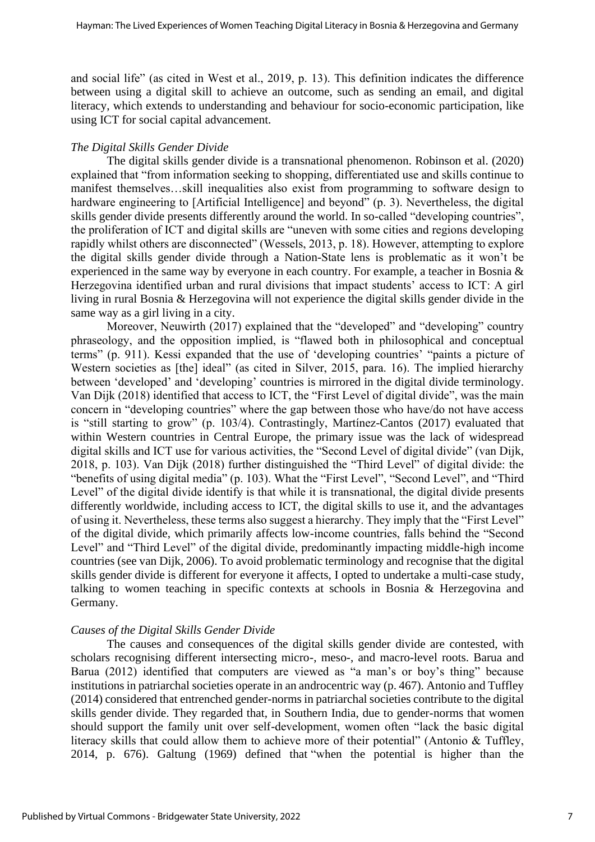and social life" (as cited in West et al., 2019, p. 13). This definition indicates the difference between using a digital skill to achieve an outcome, such as sending an email, and digital literacy, which extends to understanding and behaviour for socio-economic participation, like using ICT for social capital advancement.

#### *The Digital Skills Gender Divide*

The digital skills gender divide is a transnational phenomenon. Robinson et al. (2020) explained that "from information seeking to shopping, differentiated use and skills continue to manifest themselves…skill inequalities also exist from programming to software design to hardware engineering to [Artificial Intelligence] and beyond" (p. 3). Nevertheless, the digital skills gender divide presents differently around the world. In so-called "developing countries", the proliferation of ICT and digital skills are "uneven with some cities and regions developing rapidly whilst others are disconnected" (Wessels, 2013, p. 18). However, attempting to explore the digital skills gender divide through a Nation-State lens is problematic as it won't be experienced in the same way by everyone in each country. For example, a teacher in Bosnia & Herzegovina identified urban and rural divisions that impact students' access to ICT: A girl living in rural Bosnia & Herzegovina will not experience the digital skills gender divide in the same way as a girl living in a city.

Moreover, Neuwirth (2017) explained that the "developed" and "developing" country phraseology, and the opposition implied, is "flawed both in philosophical and conceptual terms" (p. 911). Kessi expanded that the use of 'developing countries' "paints a picture of Western societies as [the] ideal" (as cited in Silver, 2015, para. 16). The implied hierarchy between 'developed' and 'developing' countries is mirrored in the digital divide terminology. Van Dijk (2018) identified that access to ICT, the "First Level of digital divide", was the main concern in "developing countries" where the gap between those who have/do not have access is "still starting to grow" (p. 103/4). Contrastingly, Martínez-Cantos (2017) evaluated that within Western countries in Central Europe, the primary issue was the lack of widespread digital skills and ICT use for various activities, the "Second Level of digital divide" (van Dijk, 2018, p. 103). Van Dijk (2018) further distinguished the "Third Level" of digital divide: the "benefits of using digital media" (p. 103). What the "First Level", "Second Level", and "Third Level" of the digital divide identify is that while it is transnational, the digital divide presents differently worldwide, including access to ICT, the digital skills to use it, and the advantages of using it. Nevertheless, these terms also suggest a hierarchy. They imply that the "First Level" of the digital divide, which primarily affects low-income countries, falls behind the "Second Level" and "Third Level" of the digital divide, predominantly impacting middle-high income countries (see van Dijk, 2006). To avoid problematic terminology and recognise that the digital skills gender divide is different for everyone it affects, I opted to undertake a multi-case study, talking to women teaching in specific contexts at schools in Bosnia & Herzegovina and Germany.

## *Causes of the Digital Skills Gender Divide*

The causes and consequences of the digital skills gender divide are contested, with scholars recognising different intersecting micro-, meso-, and macro-level roots. Barua and Barua (2012) identified that computers are viewed as "a man's or boy's thing" because institutions in patriarchal societies operate in an androcentric way (p. 467). Antonio and Tuffley (2014) considered that entrenched gender-norms in patriarchal societies contribute to the digital skills gender divide. They regarded that, in Southern India, due to gender-norms that women should support the family unit over self-development, women often "lack the basic digital literacy skills that could allow them to achieve more of their potential" (Antonio & Tuffley, 2014, p. 676). Galtung (1969) defined that "when the potential is higher than the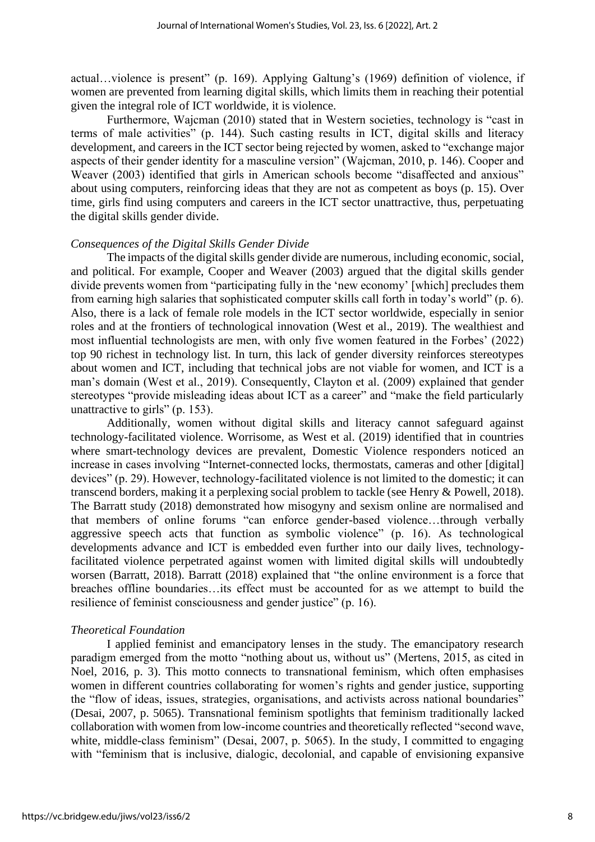actual…violence is present" (p. 169). Applying Galtung's (1969) definition of violence, if women are prevented from learning digital skills, which limits them in reaching their potential given the integral role of ICT worldwide, it is violence.

Furthermore, Wajcman (2010) stated that in Western societies, technology is "cast in terms of male activities" (p. 144). Such casting results in ICT, digital skills and literacy development, and careers in the ICT sector being rejected by women, asked to "exchange major aspects of their gender identity for a masculine version" (Wajcman, 2010, p. 146). Cooper and Weaver (2003) identified that girls in American schools become "disaffected and anxious" about using computers, reinforcing ideas that they are not as competent as boys (p. 15). Over time, girls find using computers and careers in the ICT sector unattractive, thus, perpetuating the digital skills gender divide.

#### *Consequences of the Digital Skills Gender Divide*

The impacts of the digital skills gender divide are numerous, including economic, social, and political. For example, Cooper and Weaver (2003) argued that the digital skills gender divide prevents women from "participating fully in the 'new economy' [which] precludes them from earning high salaries that sophisticated computer skills call forth in today's world" (p. 6). Also, there is a lack of female role models in the ICT sector worldwide, especially in senior roles and at the frontiers of technological innovation (West et al., 2019). The wealthiest and most influential technologists are men, with only five women featured in the Forbes' (2022) top 90 richest in technology list. In turn, this lack of gender diversity reinforces stereotypes about women and ICT, including that technical jobs are not viable for women, and ICT is a man's domain (West et al., 2019). Consequently, Clayton et al. (2009) explained that gender stereotypes "provide misleading ideas about ICT as a career" and "make the field particularly unattractive to girls" (p. 153).

Additionally, women without digital skills and literacy cannot safeguard against technology-facilitated violence. Worrisome, as West et al. (2019) identified that in countries where smart-technology devices are prevalent, Domestic Violence responders noticed an increase in cases involving "Internet-connected locks, thermostats, cameras and other [digital] devices" (p. 29). However, technology-facilitated violence is not limited to the domestic; it can transcend borders, making it a perplexing social problem to tackle (see Henry & Powell, 2018). The Barratt study (2018) demonstrated how misogyny and sexism online are normalised and that members of online forums "can enforce gender-based violence…through verbally aggressive speech acts that function as symbolic violence" (p. 16). As technological developments advance and ICT is embedded even further into our daily lives, technologyfacilitated violence perpetrated against women with limited digital skills will undoubtedly worsen (Barratt, 2018). Barratt (2018) explained that "the online environment is a force that breaches offline boundaries…its effect must be accounted for as we attempt to build the resilience of feminist consciousness and gender justice" (p. 16).

## *Theoretical Foundation*

I applied feminist and emancipatory lenses in the study. The emancipatory research paradigm emerged from the motto "nothing about us, without us" (Mertens, 2015, as cited in Noel, 2016, p. 3). This motto connects to transnational feminism, which often emphasises women in different countries collaborating for women's rights and gender justice, supporting the "flow of ideas, issues, strategies, organisations, and activists across national boundaries" (Desai, 2007, p. 5065). Transnational feminism spotlights that feminism traditionally lacked collaboration with women from low-income countries and theoretically reflected "second wave, white, middle-class feminism" (Desai, 2007, p. 5065). In the study, I committed to engaging with "feminism that is inclusive, dialogic, decolonial, and capable of envisioning expansive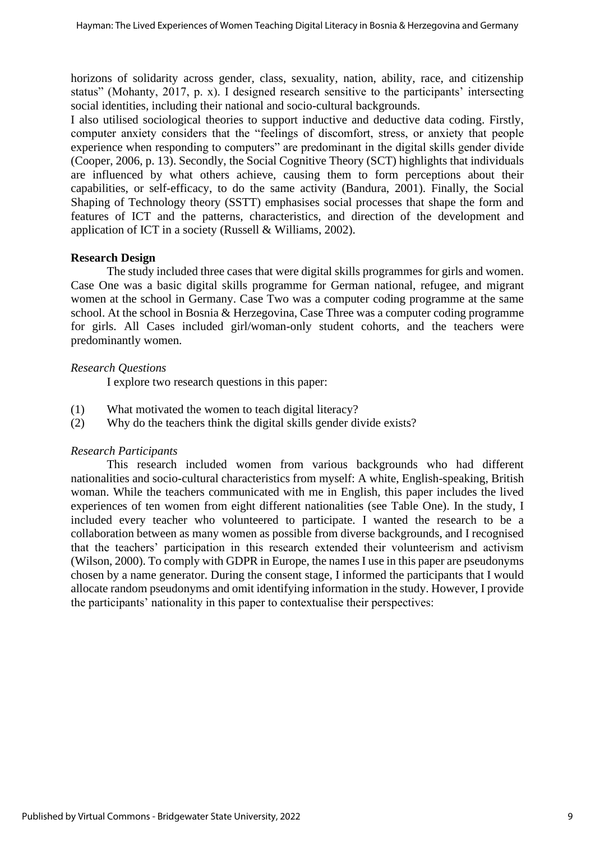horizons of solidarity across gender, class, sexuality, nation, ability, race, and citizenship status" (Mohanty, 2017, p. x). I designed research sensitive to the participants' intersecting social identities, including their national and socio-cultural backgrounds.

I also utilised sociological theories to support inductive and deductive data coding. Firstly, computer anxiety considers that the "feelings of discomfort, stress, or anxiety that people experience when responding to computers" are predominant in the digital skills gender divide (Cooper, 2006, p. 13). Secondly, the Social Cognitive Theory (SCT) highlights that individuals are influenced by what others achieve, causing them to form perceptions about their capabilities, or self-efficacy, to do the same activity (Bandura, 2001). Finally, the Social Shaping of Technology theory (SSTT) emphasises social processes that shape the form and features of ICT and the patterns, characteristics, and direction of the development and application of ICT in a society (Russell & Williams, 2002).

## **Research Design**

The study included three cases that were digital skills programmes for girls and women. Case One was a basic digital skills programme for German national, refugee, and migrant women at the school in Germany. Case Two was a computer coding programme at the same school. At the school in Bosnia & Herzegovina, Case Three was a computer coding programme for girls. All Cases included girl/woman-only student cohorts, and the teachers were predominantly women.

## *Research Questions*

I explore two research questions in this paper:

- (1) What motivated the women to teach digital literacy?
- (2) Why do the teachers think the digital skills gender divide exists?

## *Research Participants*

This research included women from various backgrounds who had different nationalities and socio-cultural characteristics from myself: A white, English-speaking, British woman. While the teachers communicated with me in English, this paper includes the lived experiences of ten women from eight different nationalities (see Table One). In the study, I included every teacher who volunteered to participate. I wanted the research to be a collaboration between as many women as possible from diverse backgrounds, and I recognised that the teachers' participation in this research extended their volunteerism and activism (Wilson, 2000). To comply with GDPR in Europe, the names I use in this paper are pseudonyms chosen by a name generator. During the consent stage, I informed the participants that I would allocate random pseudonyms and omit identifying information in the study. However, I provide the participants' nationality in this paper to contextualise their perspectives: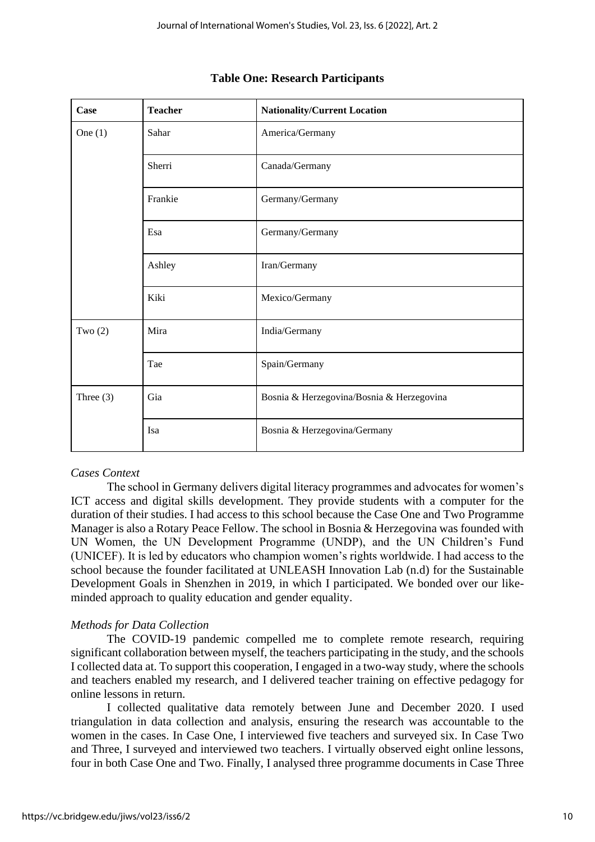| Case        | <b>Teacher</b> | <b>Nationality/Current Location</b>       |
|-------------|----------------|-------------------------------------------|
| One $(1)$   | Sahar          | America/Germany                           |
|             | Sherri         | Canada/Germany                            |
|             | Frankie        | Germany/Germany                           |
|             | Esa            | Germany/Germany                           |
|             | Ashley         | Iran/Germany                              |
|             | Kiki           | Mexico/Germany                            |
| Two $(2)$   | Mira           | India/Germany                             |
|             | Tae            | Spain/Germany                             |
| Three $(3)$ | Gia            | Bosnia & Herzegovina/Bosnia & Herzegovina |
|             | Isa            | Bosnia & Herzegovina/Germany              |

## **Table One: Research Participants**

## *Cases Context*

The school in Germany delivers digital literacy programmes and advocates for women's ICT access and digital skills development. They provide students with a computer for the duration of their studies. I had access to this school because the Case One and Two Programme Manager is also a Rotary Peace Fellow. The school in Bosnia & Herzegovina was founded with UN Women, the UN Development Programme (UNDP), and the UN Children's Fund (UNICEF). It is led by educators who champion women's rights worldwide. I had access to the school because the founder facilitated at UNLEASH Innovation Lab (n.d) for the Sustainable Development Goals in Shenzhen in 2019, in which I participated. We bonded over our likeminded approach to quality education and gender equality.

## *Methods for Data Collection*

The COVID-19 pandemic compelled me to complete remote research, requiring significant collaboration between myself, the teachers participating in the study, and the schools I collected data at. To support this cooperation, I engaged in a two-way study, where the schools and teachers enabled my research, and I delivered teacher training on effective pedagogy for online lessons in return.

I collected qualitative data remotely between June and December 2020. I used triangulation in data collection and analysis, ensuring the research was accountable to the women in the cases. In Case One, I interviewed five teachers and surveyed six. In Case Two and Three, I surveyed and interviewed two teachers. I virtually observed eight online lessons, four in both Case One and Two. Finally, I analysed three programme documents in Case Three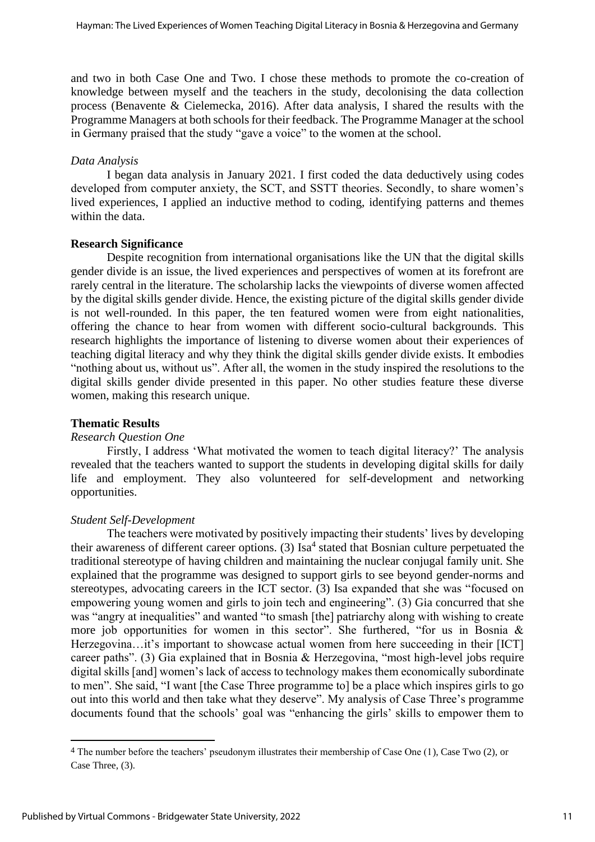and two in both Case One and Two. I chose these methods to promote the co-creation of knowledge between myself and the teachers in the study, decolonising the data collection process (Benavente & Cielemecka, 2016). After data analysis, I shared the results with the Programme Managers at both schools for their feedback. The Programme Manager at the school in Germany praised that the study "gave a voice" to the women at the school.

## *Data Analysis*

I began data analysis in January 2021. I first coded the data deductively using codes developed from computer anxiety, the SCT, and SSTT theories. Secondly, to share women's lived experiences, I applied an inductive method to coding, identifying patterns and themes within the data.

## **Research Significance**

Despite recognition from international organisations like the UN that the digital skills gender divide is an issue, the lived experiences and perspectives of women at its forefront are rarely central in the literature. The scholarship lacks the viewpoints of diverse women affected by the digital skills gender divide. Hence, the existing picture of the digital skills gender divide is not well-rounded. In this paper, the ten featured women were from eight nationalities, offering the chance to hear from women with different socio-cultural backgrounds. This research highlights the importance of listening to diverse women about their experiences of teaching digital literacy and why they think the digital skills gender divide exists. It embodies "nothing about us, without us". After all, the women in the study inspired the resolutions to the digital skills gender divide presented in this paper. No other studies feature these diverse women, making this research unique.

## **Thematic Results**

## *Research Question One*

Firstly, I address 'What motivated the women to teach digital literacy?' The analysis revealed that the teachers wanted to support the students in developing digital skills for daily life and employment. They also volunteered for self-development and networking opportunities.

## *Student Self-Development*

The teachers were motivated by positively impacting their students' lives by developing their awareness of different career options. (3)  $Isa<sup>4</sup>$  stated that Bosnian culture perpetuated the traditional stereotype of having children and maintaining the nuclear conjugal family unit. She explained that the programme was designed to support girls to see beyond gender-norms and stereotypes, advocating careers in the ICT sector. (3) Isa expanded that she was "focused on empowering young women and girls to join tech and engineering". (3) Gia concurred that she was "angry at inequalities" and wanted "to smash [the] patriarchy along with wishing to create more job opportunities for women in this sector". She furthered, "for us in Bosnia & Herzegovina...it's important to showcase actual women from here succeeding in their [ICT] career paths". (3) Gia explained that in Bosnia & Herzegovina, "most high-level jobs require digital skills [and] women's lack of access to technology makes them economically subordinate to men". She said, "I want [the Case Three programme to] be a place which inspires girls to go out into this world and then take what they deserve". My analysis of Case Three's programme documents found that the schools' goal was "enhancing the girls' skills to empower them to

<sup>4</sup> The number before the teachers' pseudonym illustrates their membership of Case One (1), Case Two (2), or Case Three, (3).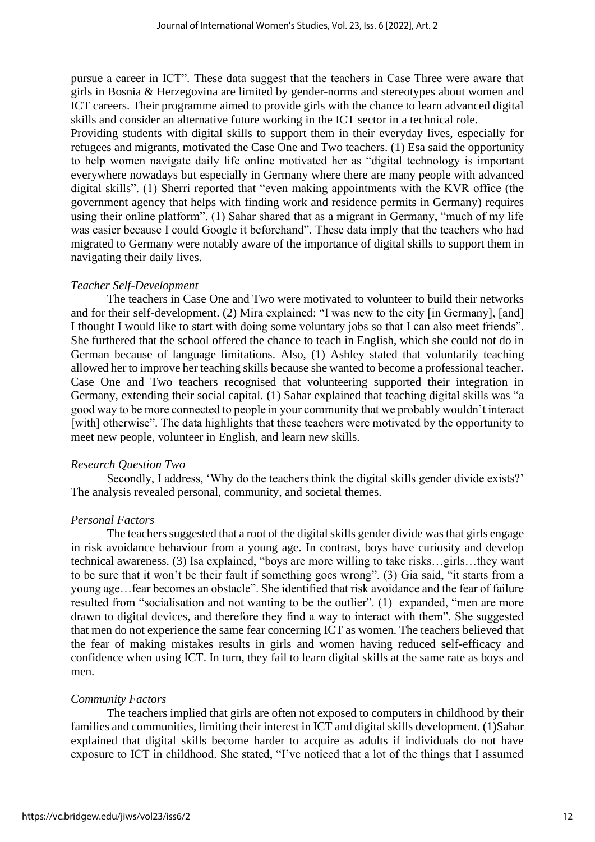pursue a career in ICT". These data suggest that the teachers in Case Three were aware that girls in Bosnia & Herzegovina are limited by gender-norms and stereotypes about women and ICT careers. Their programme aimed to provide girls with the chance to learn advanced digital skills and consider an alternative future working in the ICT sector in a technical role.

Providing students with digital skills to support them in their everyday lives, especially for refugees and migrants, motivated the Case One and Two teachers. (1) Esa said the opportunity to help women navigate daily life online motivated her as "digital technology is important everywhere nowadays but especially in Germany where there are many people with advanced digital skills". (1) Sherri reported that "even making appointments with the KVR office (the government agency that helps with finding work and residence permits in Germany) requires using their online platform". (1) Sahar shared that as a migrant in Germany, "much of my life was easier because I could Google it beforehand". These data imply that the teachers who had migrated to Germany were notably aware of the importance of digital skills to support them in navigating their daily lives.

#### *Teacher Self-Development*

The teachers in Case One and Two were motivated to volunteer to build their networks and for their self-development. (2) Mira explained: "I was new to the city [in Germany], [and] I thought I would like to start with doing some voluntary jobs so that I can also meet friends". She furthered that the school offered the chance to teach in English, which she could not do in German because of language limitations. Also, (1) Ashley stated that voluntarily teaching allowed her to improve her teaching skills because she wanted to become a professional teacher. Case One and Two teachers recognised that volunteering supported their integration in Germany, extending their social capital. (1) Sahar explained that teaching digital skills was "a good way to be more connected to people in your community that we probably wouldn't interact [with] otherwise". The data highlights that these teachers were motivated by the opportunity to meet new people, volunteer in English, and learn new skills.

#### *Research Question Two*

Secondly, I address, 'Why do the teachers think the digital skills gender divide exists?' The analysis revealed personal, community, and societal themes.

## *Personal Factors*

The teachers suggested that a root of the digital skills gender divide was that girls engage in risk avoidance behaviour from a young age. In contrast, boys have curiosity and develop technical awareness. (3) Isa explained, "boys are more willing to take risks…girls…they want to be sure that it won't be their fault if something goes wrong". (3) Gia said, "it starts from a young age…fear becomes an obstacle". She identified that risk avoidance and the fear of failure resulted from "socialisation and not wanting to be the outlier". (1) expanded, "men are more drawn to digital devices, and therefore they find a way to interact with them". She suggested that men do not experience the same fear concerning ICT as women. The teachers believed that the fear of making mistakes results in girls and women having reduced self-efficacy and confidence when using ICT. In turn, they fail to learn digital skills at the same rate as boys and men.

## *Community Factors*

The teachers implied that girls are often not exposed to computers in childhood by their families and communities, limiting their interest in ICT and digital skills development. (1)Sahar explained that digital skills become harder to acquire as adults if individuals do not have exposure to ICT in childhood. She stated, "I've noticed that a lot of the things that I assumed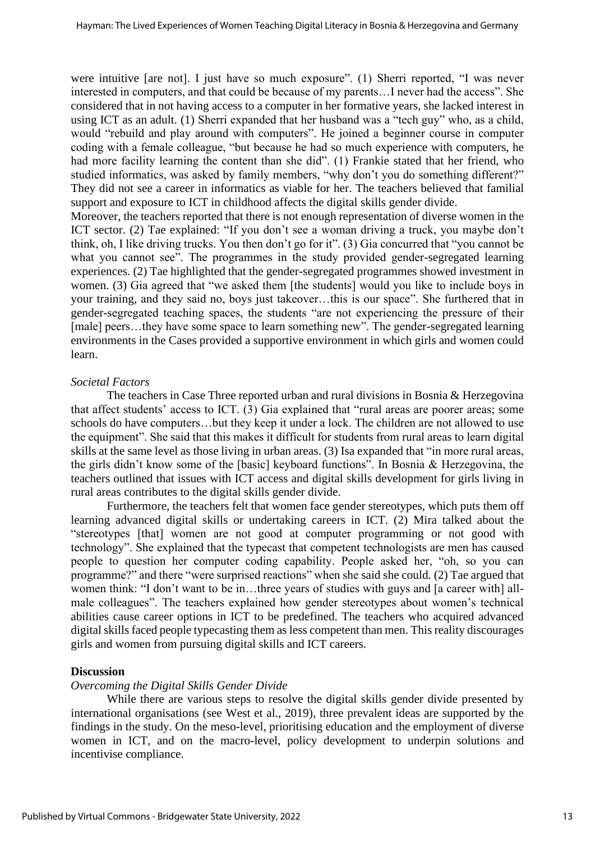were intuitive [are not]. I just have so much exposure". (1) Sherri reported, "I was never interested in computers, and that could be because of my parents…I never had the access". She considered that in not having access to a computer in her formative years, she lacked interest in using ICT as an adult. (1) Sherri expanded that her husband was a "tech guy" who, as a child, would "rebuild and play around with computers". He joined a beginner course in computer coding with a female colleague, "but because he had so much experience with computers, he had more facility learning the content than she did". (1) Frankie stated that her friend, who studied informatics, was asked by family members, "why don't you do something different?" They did not see a career in informatics as viable for her. The teachers believed that familial support and exposure to ICT in childhood affects the digital skills gender divide.

Moreover, the teachers reported that there is not enough representation of diverse women in the ICT sector. (2) Tae explained: "If you don't see a woman driving a truck, you maybe don't think, oh, I like driving trucks. You then don't go for it". (3) Gia concurred that "you cannot be what you cannot see". The programmes in the study provided gender-segregated learning experiences. (2) Tae highlighted that the gender-segregated programmes showed investment in women. (3) Gia agreed that "we asked them [the students] would you like to include boys in your training, and they said no, boys just takeover…this is our space". She furthered that in gender-segregated teaching spaces, the students "are not experiencing the pressure of their [male] peers...they have some space to learn something new". The gender-segregated learning environments in the Cases provided a supportive environment in which girls and women could learn.

#### *Societal Factors*

The teachers in Case Three reported urban and rural divisions in Bosnia & Herzegovina that affect students' access to ICT. (3) Gia explained that "rural areas are poorer areas; some schools do have computers…but they keep it under a lock. The children are not allowed to use the equipment". She said that this makes it difficult for students from rural areas to learn digital skills at the same level as those living in urban areas. (3) Isa expanded that "in more rural areas, the girls didn't know some of the [basic] keyboard functions". In Bosnia & Herzegovina, the teachers outlined that issues with ICT access and digital skills development for girls living in rural areas contributes to the digital skills gender divide.

Furthermore, the teachers felt that women face gender stereotypes, which puts them off learning advanced digital skills or undertaking careers in ICT. (2) Mira talked about the "stereotypes [that] women are not good at computer programming or not good with technology". She explained that the typecast that competent technologists are men has caused people to question her computer coding capability. People asked her, "oh, so you can programme?" and there "were surprised reactions" when she said she could. (2) Tae argued that women think: "I don't want to be in…three years of studies with guys and [a career with] allmale colleagues". The teachers explained how gender stereotypes about women's technical abilities cause career options in ICT to be predefined. The teachers who acquired advanced digital skills faced people typecasting them as less competent than men. This reality discourages girls and women from pursuing digital skills and ICT careers.

#### **Discussion**

#### *Overcoming the Digital Skills Gender Divide*

While there are various steps to resolve the digital skills gender divide presented by international organisations (see West et al., 2019), three prevalent ideas are supported by the findings in the study. On the meso-level, prioritising education and the employment of diverse women in ICT, and on the macro-level, policy development to underpin solutions and incentivise compliance.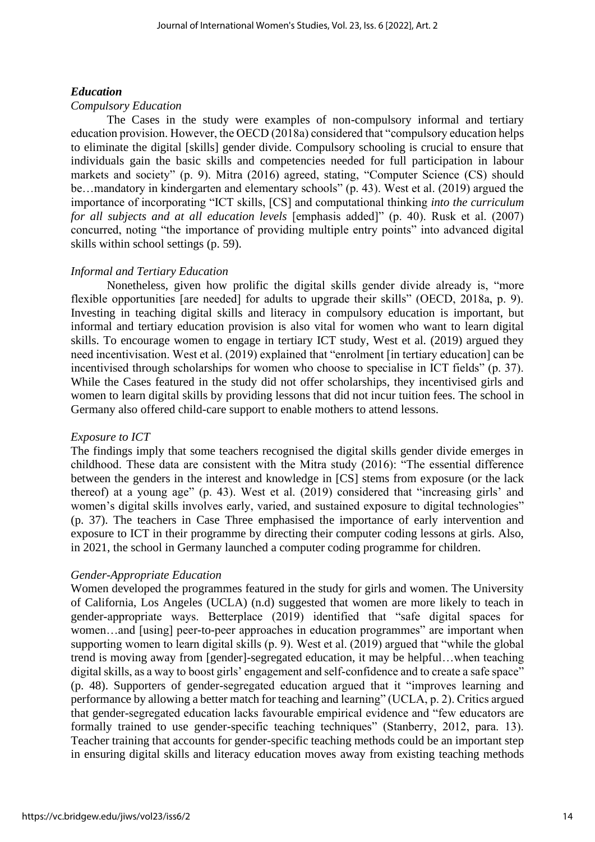## *Education*

## *Compulsory Education*

The Cases in the study were examples of non-compulsory informal and tertiary education provision. However, the OECD (2018a) considered that "compulsory education helps to eliminate the digital [skills] gender divide. Compulsory schooling is crucial to ensure that individuals gain the basic skills and competencies needed for full participation in labour markets and society" (p. 9). Mitra (2016) agreed, stating, "Computer Science (CS) should be…mandatory in kindergarten and elementary schools" (p. 43). West et al. (2019) argued the importance of incorporating "ICT skills, [CS] and computational thinking *into the curriculum for all subjects and at all education levels* [emphasis added]" (p. 40). Rusk et al. (2007) concurred, noting "the importance of providing multiple entry points" into advanced digital skills within school settings (p. 59).

## *Informal and Tertiary Education*

Nonetheless, given how prolific the digital skills gender divide already is, "more flexible opportunities [are needed] for adults to upgrade their skills" (OECD, 2018a, p. 9). Investing in teaching digital skills and literacy in compulsory education is important, but informal and tertiary education provision is also vital for women who want to learn digital skills. To encourage women to engage in tertiary ICT study, West et al. (2019) argued they need incentivisation. West et al. (2019) explained that "enrolment [in tertiary education] can be incentivised through scholarships for women who choose to specialise in ICT fields" (p. 37). While the Cases featured in the study did not offer scholarships, they incentivised girls and women to learn digital skills by providing lessons that did not incur tuition fees. The school in Germany also offered child-care support to enable mothers to attend lessons.

## *Exposure to ICT*

The findings imply that some teachers recognised the digital skills gender divide emerges in childhood. These data are consistent with the Mitra study (2016): "The essential difference between the genders in the interest and knowledge in [CS] stems from exposure (or the lack thereof) at a young age" (p. 43). West et al. (2019) considered that "increasing girls' and women's digital skills involves early, varied, and sustained exposure to digital technologies" (p. 37). The teachers in Case Three emphasised the importance of early intervention and exposure to ICT in their programme by directing their computer coding lessons at girls. Also, in 2021, the school in Germany launched a computer coding programme for children.

## *Gender-Appropriate Education*

Women developed the programmes featured in the study for girls and women. The University of California, Los Angeles (UCLA) (n.d) suggested that women are more likely to teach in gender-appropriate ways. Betterplace (2019) identified that "safe digital spaces for women...and [using] peer-to-peer approaches in education programmes" are important when supporting women to learn digital skills (p. 9). West et al. (2019) argued that "while the global trend is moving away from [gender]-segregated education, it may be helpful…when teaching digital skills, as a way to boost girls' engagement and self-confidence and to create a safe space" (p. 48). Supporters of gender-segregated education argued that it "improves learning and performance by allowing a better match for teaching and learning" (UCLA, p. 2). Critics argued that gender-segregated education lacks favourable empirical evidence and "few educators are formally trained to use gender-specific teaching techniques" (Stanberry, 2012, para. 13). Teacher training that accounts for gender-specific teaching methods could be an important step in ensuring digital skills and literacy education moves away from existing teaching methods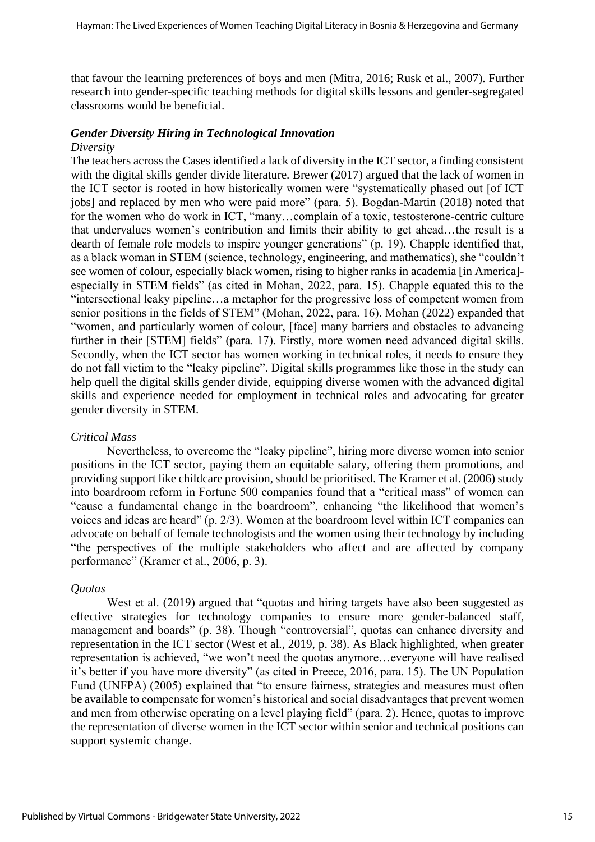that favour the learning preferences of boys and men (Mitra, 2016; Rusk et al., 2007). Further research into gender-specific teaching methods for digital skills lessons and gender-segregated classrooms would be beneficial.

## *Gender Diversity Hiring in Technological Innovation*

#### *Diversity*

The teachers across the Cases identified a lack of diversity in the ICT sector, a finding consistent with the digital skills gender divide literature. Brewer (2017) argued that the lack of women in the ICT sector is rooted in how historically women were "systematically phased out [of ICT jobs] and replaced by men who were paid more" (para. 5). Bogdan-Martin (2018) noted that for the women who do work in ICT, "many…complain of a toxic, testosterone-centric culture that undervalues women's contribution and limits their ability to get ahead…the result is a dearth of female role models to inspire younger generations" (p. 19). Chapple identified that, as a black woman in STEM (science, technology, engineering, and mathematics), she "couldn't see women of colour, especially black women, rising to higher ranks in academia [in America] especially in STEM fields" (as cited in Mohan, 2022, para. 15). Chapple equated this to the "intersectional leaky pipeline…a metaphor for the progressive loss of competent women from senior positions in the fields of STEM" (Mohan, 2022, para. 16). Mohan (2022) expanded that "women, and particularly women of colour, [face] many barriers and obstacles to advancing further in their [STEM] fields" (para. 17). Firstly, more women need advanced digital skills. Secondly, when the ICT sector has women working in technical roles, it needs to ensure they do not fall victim to the "leaky pipeline". Digital skills programmes like those in the study can help quell the digital skills gender divide, equipping diverse women with the advanced digital skills and experience needed for employment in technical roles and advocating for greater gender diversity in STEM.

## *Critical Mass*

Nevertheless, to overcome the "leaky pipeline", hiring more diverse women into senior positions in the ICT sector, paying them an equitable salary, offering them promotions, and providing support like childcare provision, should be prioritised. The Kramer et al. (2006) study into boardroom reform in Fortune 500 companies found that a "critical mass" of women can "cause a fundamental change in the boardroom", enhancing "the likelihood that women's voices and ideas are heard" (p. 2/3). Women at the boardroom level within ICT companies can advocate on behalf of female technologists and the women using their technology by including "the perspectives of the multiple stakeholders who affect and are affected by company performance" (Kramer et al., 2006, p. 3).

## *Quotas*

West et al. (2019) argued that "quotas and hiring targets have also been suggested as effective strategies for technology companies to ensure more gender-balanced staff, management and boards" (p. 38). Though "controversial", quotas can enhance diversity and representation in the ICT sector (West et al., 2019, p. 38). As Black highlighted, when greater representation is achieved, "we won't need the quotas anymore…everyone will have realised it's better if you have more diversity" (as cited in Preece, 2016, para. 15). The UN Population Fund (UNFPA) (2005) explained that "to ensure fairness, strategies and measures must often be available to compensate for women's historical and social disadvantages that prevent women and men from otherwise operating on a level playing field" (para. 2). Hence, quotas to improve the representation of diverse women in the ICT sector within senior and technical positions can support systemic change.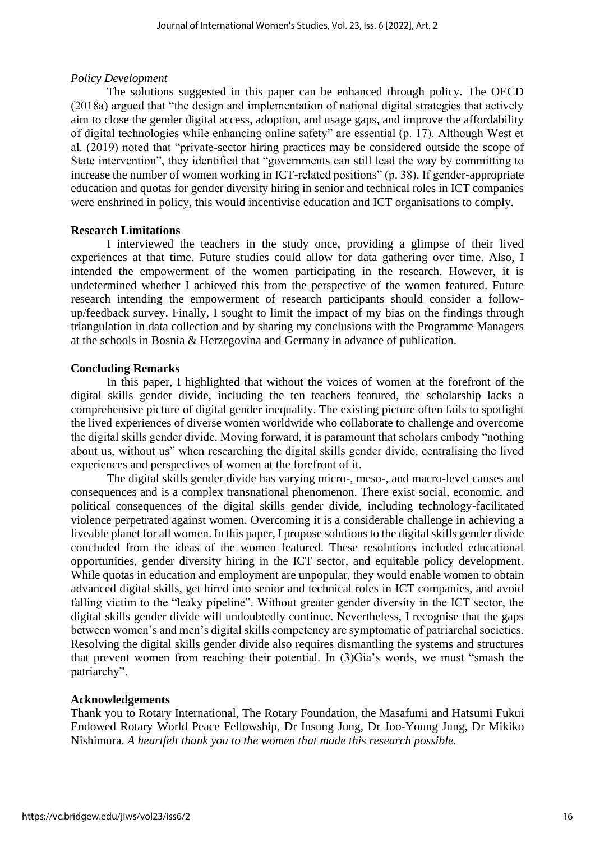## *Policy Development*

The solutions suggested in this paper can be enhanced through policy. The OECD (2018a) argued that "the design and implementation of national digital strategies that actively aim to close the gender digital access, adoption, and usage gaps, and improve the affordability of digital technologies while enhancing online safety" are essential (p. 17). Although West et al. (2019) noted that "private-sector hiring practices may be considered outside the scope of State intervention", they identified that "governments can still lead the way by committing to increase the number of women working in ICT-related positions" (p. 38). If gender-appropriate education and quotas for gender diversity hiring in senior and technical roles in ICT companies were enshrined in policy, this would incentivise education and ICT organisations to comply.

## **Research Limitations**

I interviewed the teachers in the study once, providing a glimpse of their lived experiences at that time. Future studies could allow for data gathering over time. Also, I intended the empowerment of the women participating in the research. However, it is undetermined whether I achieved this from the perspective of the women featured. Future research intending the empowerment of research participants should consider a followup/feedback survey. Finally, I sought to limit the impact of my bias on the findings through triangulation in data collection and by sharing my conclusions with the Programme Managers at the schools in Bosnia & Herzegovina and Germany in advance of publication.

## **Concluding Remarks**

In this paper, I highlighted that without the voices of women at the forefront of the digital skills gender divide, including the ten teachers featured, the scholarship lacks a comprehensive picture of digital gender inequality. The existing picture often fails to spotlight the lived experiences of diverse women worldwide who collaborate to challenge and overcome the digital skills gender divide. Moving forward, it is paramount that scholars embody "nothing about us, without us" when researching the digital skills gender divide, centralising the lived experiences and perspectives of women at the forefront of it.

The digital skills gender divide has varying micro-, meso-, and macro-level causes and consequences and is a complex transnational phenomenon. There exist social, economic, and political consequences of the digital skills gender divide, including technology-facilitated violence perpetrated against women. Overcoming it is a considerable challenge in achieving a liveable planet for all women. In this paper, I propose solutions to the digital skills gender divide concluded from the ideas of the women featured. These resolutions included educational opportunities, gender diversity hiring in the ICT sector, and equitable policy development. While quotas in education and employment are unpopular, they would enable women to obtain advanced digital skills, get hired into senior and technical roles in ICT companies, and avoid falling victim to the "leaky pipeline". Without greater gender diversity in the ICT sector, the digital skills gender divide will undoubtedly continue. Nevertheless, I recognise that the gaps between women's and men's digital skills competency are symptomatic of patriarchal societies. Resolving the digital skills gender divide also requires dismantling the systems and structures that prevent women from reaching their potential. In (3)Gia's words, we must "smash the patriarchy".

## **Acknowledgements**

Thank you to Rotary International, The Rotary Foundation, the Masafumi and Hatsumi Fukui Endowed Rotary World Peace Fellowship, Dr Insung Jung, Dr Joo-Young Jung, Dr Mikiko Nishimura. *A heartfelt thank you to the women that made this research possible.*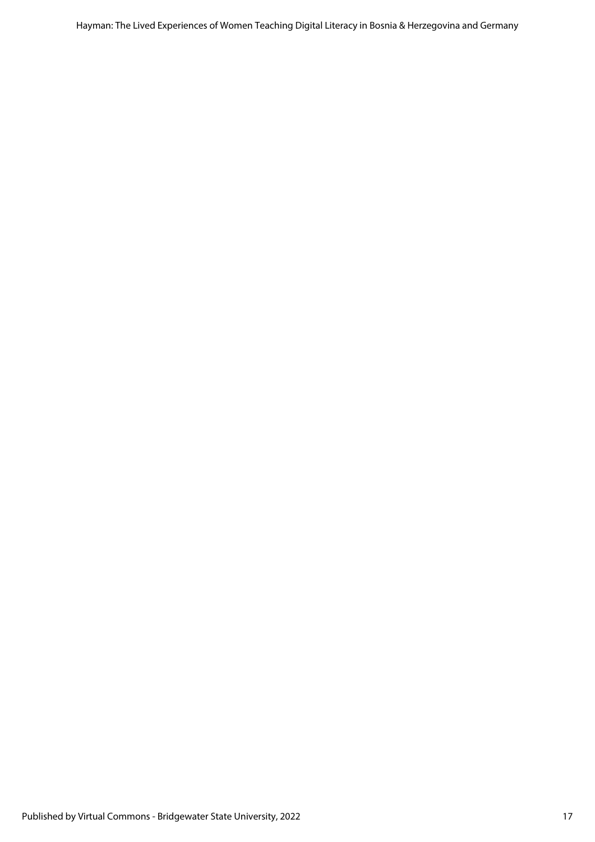Hayman: The Lived Experiences of Women Teaching Digital Literacy in Bosnia & Herzegovina and Germany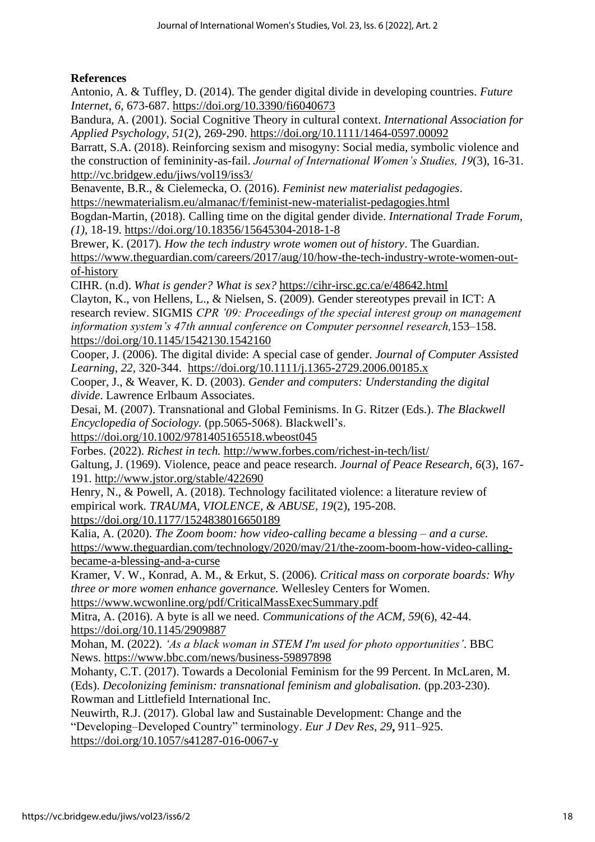## **References**

Antonio, A. & Tuffley, D. (2014). The gender digital divide in developing countries. *Future Internet, 6*, 673-687.<https://doi.org/10.3390/fi6040673>

Bandura, A. (2001). Social Cognitive Theory in cultural context. *International Association for Applied Psychology, 51*(2), 269-290.<https://doi.org/10.1111/1464-0597.00092>

Barratt, S.A. (2018). Reinforcing sexism and misogyny: Social media, symbolic violence and the construction of femininity-as-fail. *Journal of International Women's Studies, 19*(3), 16-31. <http://vc.bridgew.edu/jiws/vol19/iss3/>

Benavente, B.R., & Cielemecka, O. (2016). *Feminist new materialist pedagogies*. <https://newmaterialism.eu/almanac/f/feminist-new-materialist-pedagogies.html>

Bogdan-Martin, (2018). Calling time on the digital gender divide. *International Trade Forum, (1)*, 18-19.<https://doi.org/10.18356/15645304-2018-1-8>

Brewer, K. (2017). *How the tech industry wrote women out of history*. The Guardian. [https://www.theguardian.com/careers/2017/aug/10/how-the-tech-industry-wrote-women-out](https://www.theguardian.com/careers/2017/aug/10/how-the-tech-industry-wrote-women-out-of-history)[of-history](https://www.theguardian.com/careers/2017/aug/10/how-the-tech-industry-wrote-women-out-of-history)

CIHR. (n.d). *What is gender? What is sex?* <https://cihr-irsc.gc.ca/e/48642.html>

Clayton, K., von Hellens, L., & Nielsen, S. (2009). Gender stereotypes prevail in ICT: A research review. SIGMIS *CPR '09: Proceedings of the special interest group on management information system's 47th annual conference on Computer personnel research,*153–158. <https://doi.org/10.1145/1542130.1542160>

Cooper, J. (2006). The digital divide: A special case of gender. *Journal of Computer Assisted Learning, 22*, 320-344. <https://doi.org/10.1111/j.1365-2729.2006.00185.x>

Cooper, J., & Weaver, K. D. (2003). *Gender and computers: Understanding the digital divide*. Lawrence Erlbaum Associates.

Desai, M. (2007). Transnational and Global Feminisms. In G. Ritzer (Eds.). *The Blackwell Encyclopedia of Sociology.* [\(pp.5065-5068\). Blackwell's.](https://doi.org/10.1002/9781405165518.wbeost045) 

<https://doi.org/10.1002/9781405165518.wbeost045>

Forbes. (2022). *Richest in tech.* <http://www.forbes.com/richest-in-tech/list/>

Galtung, J. (1969). Violence, peace and peace research. *Journal of Peace Research, 6*(3), 167- 191. http://www.jstor.org/stable/422690

Henry, N., & Powell, A. (2018). Technology facilitated violence: a literature review of empirical work*. TRAUMA, VIOLENCE, & ABUSE, 19*(2), 195-208.

[https://doi.org/10.1177/1524838016650189](https://doi.org/10.1177%2F1524838016650189)

Kalia, A. (2020). *The Zoom boom: how video-calling became a blessing – and a curse.*  [https://www.theguardian.com/technology/2020/may/21/the-zoom-boom-how-video-calling](https://www.theguardian.com/technology/2020/may/21/the-zoom-boom-how-video-calling-became-a-blessing-and-a-curse)[became-a-blessing-and-a-curse](https://www.theguardian.com/technology/2020/may/21/the-zoom-boom-how-video-calling-became-a-blessing-and-a-curse)

Kramer, V. W., Konrad, A. M., & Erkut, S. (2006)*. Critical mass on corporate boards: Why three or more women enhance governance.* Wellesley Centers for Women.

https://www.wcwonline.org/pdf/CriticalMassExecSummary.pdf

Mitra, A. (2016). A byte is all we need. *Communications of the ACM, 59*(6), 42-44. <https://doi.org/10.1145/2909887>

Mohan, M. (2022). *'As a black woman in STEM I'm used for photo opportunities'*. BBC News.<https://www.bbc.com/news/business-59897898>

Mohanty, C.T. (2017). Towards a Decolonial Feminism for the 99 Percent. In McLaren, M. (Eds). *Decolonizing feminism: transnational feminism and globalisation.* (pp.203-230). Rowman and Littlefield International Inc.

Neuwirth, R.J. (2017). Global law and Sustainable Development: Change and the "Developing–Developed Country" terminology. *Eur J Dev Res, 29***,** 911–925. <https://doi.org/10.1057/s41287-016-0067-y>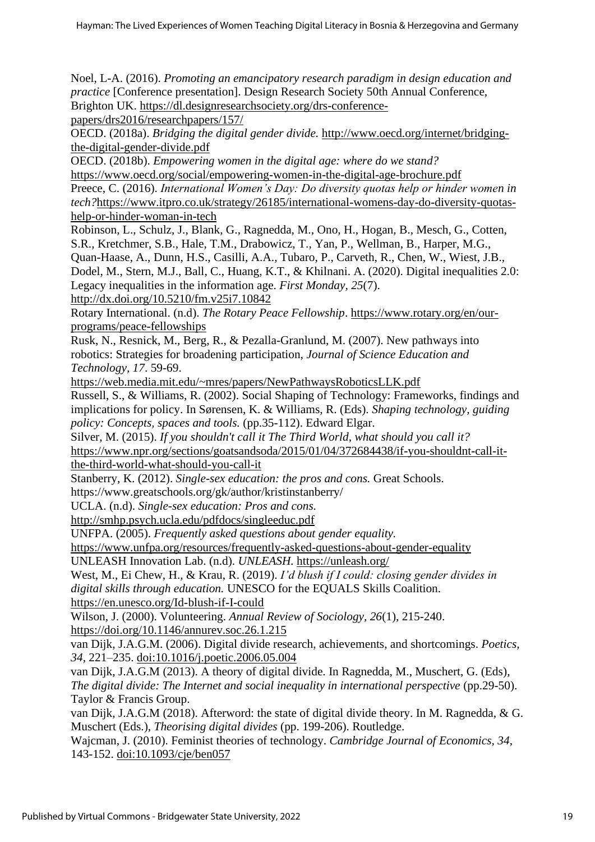Noel, L-A. (2016). *Promoting an emancipatory research paradigm in design education and practice* [Conference presentation]. Design Research Society 50th Annual Conference, Brighton UK. [https://dl.designresearchsociety.org/drs-conference-](https://dl.designresearchsociety.org/drs-conference-papers/drs2016/researchpapers/157/)

[papers/drs2016/researchpapers/157/](https://dl.designresearchsociety.org/drs-conference-papers/drs2016/researchpapers/157/)

OECD. (2018a). *Bridging the digital gender divide.* [http://www.oecd.org/internet/bridging](http://www.oecd.org/internet/bridging-the-digital-gender-divide.pdf)[the-digital-gender-divide.pdf](http://www.oecd.org/internet/bridging-the-digital-gender-divide.pdf)

OECD. (2018b). *Empowering women in the digital age: where do we stand?* 

<https://www.oecd.org/social/empowering-women-in-the-digital-age-brochure.pdf>

Preece, C. (2016). *International Women's Day: Do diversity quotas help or hinder women in tech?*[https://www.itpro.co.uk/strategy/26185/international-womens-day-do-diversity-quotas](https://www.itpro.co.uk/strategy/26185/international-womens-day-do-diversity-quotas-help-or-hinder-woman-in-tech)[help-or-hinder-woman-in-tech](https://www.itpro.co.uk/strategy/26185/international-womens-day-do-diversity-quotas-help-or-hinder-woman-in-tech)

Robinson, L., Schulz, J., Blank, G., Ragnedda, M., Ono, H., Hogan, B., Mesch, G., Cotten, S.R., Kretchmer, S.B., Hale, T.M., Drabowicz, T., Yan, P., Wellman, B., Harper, M.G., Quan-Haase, A., Dunn, H.S., Casilli, A.A., Tubaro, P., Carveth, R., Chen, W., Wiest, J.B., Dodel, M., Stern, M.J., Ball, C., Huang, K.T., & Khilnani. A. (2020). Digital inequalities 2.0: Legacy inequalities in the information age. *First Monday, 25*(7).

http://dx.doi.org/10.5210/fm.v25i7.10842

Rotary International. (n.d). *The Rotary Peace Fellowship*. [https://www.rotary.org/en/our](https://www.rotary.org/en/our-programs/peace-fellowships)[programs/peace-fellowships](https://www.rotary.org/en/our-programs/peace-fellowships)

Rusk, N., Resnick, M., Berg, R., & Pezalla-Granlund, M. (2007). New pathways into robotics: Strategies for broadening participation, *Journal of Science Education and Technology, 17*. 59-69.

<https://web.media.mit.edu/~mres/papers/NewPathwaysRoboticsLLK.pdf>

Russell, S., & Williams, R. (2002). Social Shaping of Technology: Frameworks, findings and implications for policy. In Sørensen, K. & Williams, R. (Eds). *Shaping technology, guiding policy: Concepts, spaces and tools.* (pp.35-112). Edward Elgar.

Silver, M. (2015). *If you shouldn't call it The Third World, what should you call it?* 

[https://www.npr.org/sections/goatsandsoda/2015/01/04/372684438/if-you-shouldnt-call-it](https://www.npr.org/sections/goatsandsoda/2015/01/04/372684438/if-you-shouldnt-call-it-the-third-world-what-should-you-call-it)[the-third-world-what-should-you-call-it](https://www.npr.org/sections/goatsandsoda/2015/01/04/372684438/if-you-shouldnt-call-it-the-third-world-what-should-you-call-it)

Stanberry, K. (2012). *Single-sex education: the pros and cons.* Great Schools.

https://www.greatschools.org/gk/author/kristinstanberry/

UCLA. (n.d). *Single-sex education: Pros and cons.*

<http://smhp.psych.ucla.edu/pdfdocs/singleeduc.pdf>

UNFPA. (2005). *Frequently asked questions about gender equality.* 

<https://www.unfpa.org/resources/frequently-asked-questions-about-gender-equality>

UNLEASH Innovation Lab. (n.d). *UNLEASH.* <https://unleash.org/>

West, M., Ei Chew, H., & Krau, R. (2019). *I'd blush if I could: closing gender divides in digital skills through education.* UNESCO for the EQUALS Skills Coalition.

<https://en.unesco.org/Id-blush-if-I-could>

Wilson, J. (2000). Volunteering. *Annual Review of Sociology, 26*(1), 215-240.

<https://doi.org/10.1146/annurev.soc.26.1.215>

van Dijk, J.A.G.M. (2006). Digital divide research, achievements, and shortcomings. *Poetics, 34*, 221–235. doi:10.1016/j.poetic.2006.05.004

van Dijk, J.A.G.M (2013). A theory of digital divide. In Ragnedda, M., Muschert, G. (Eds), *The digital divide: The Internet and social inequality in international perspective* (pp.29-50). Taylor & Francis Group.

van Dijk, J.A.G.M (2018). Afterword: the state of digital divide theory. In M. Ragnedda, & G. Muschert (Eds.), *Theorising digital divides* (pp. 199-206). Routledge.

Wajcman, J. (2010). Feminist theories of technology. *Cambridge Journal of Economics, 34*, 143-152. doi:10.1093/cje/ben057